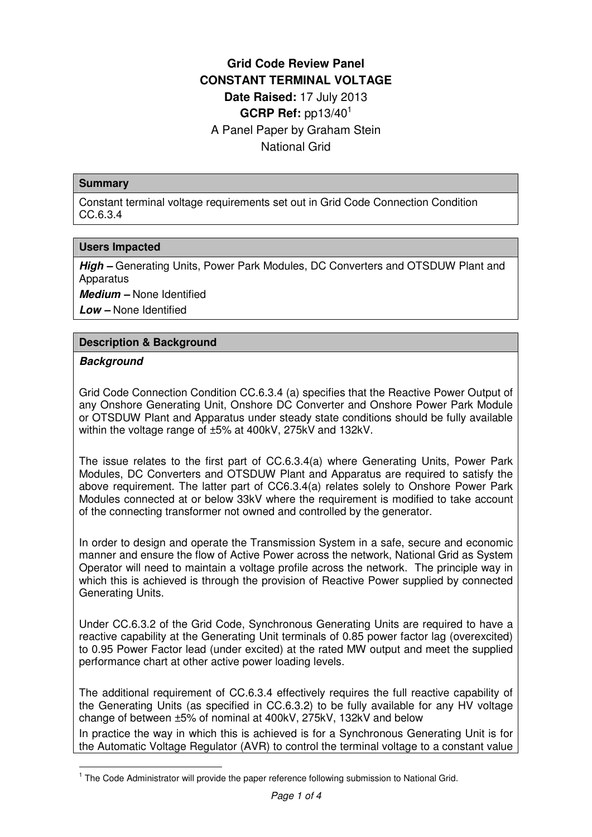# **Grid Code Review Panel CONSTANT TERMINAL VOLTAGE Date Raised:** 17 July 2013 **GCRP Ref:** pp13/40<sup>1</sup> A Panel Paper by Graham Stein National Grid

#### **Summary**

Constant terminal voltage requirements set out in Grid Code Connection Condition CC.6.3.4

#### **Users Impacted**

**High –** Generating Units, Power Park Modules, DC Converters and OTSDUW Plant and **Apparatus** 

**Medium –** None Identified

**Low –** None Identified

### **Description & Background**

### **Background**

 $\overline{a}$ 

Grid Code Connection Condition CC.6.3.4 (a) specifies that the Reactive Power Output of any Onshore Generating Unit, Onshore DC Converter and Onshore Power Park Module or OTSDUW Plant and Apparatus under steady state conditions should be fully available within the voltage range of ±5% at 400kV, 275kV and 132kV.

The issue relates to the first part of CC.6.3.4(a) where Generating Units, Power Park Modules, DC Converters and OTSDUW Plant and Apparatus are required to satisfy the above requirement. The latter part of CC6.3.4(a) relates solely to Onshore Power Park Modules connected at or below 33kV where the requirement is modified to take account of the connecting transformer not owned and controlled by the generator.

In order to design and operate the Transmission System in a safe, secure and economic manner and ensure the flow of Active Power across the network, National Grid as System Operator will need to maintain a voltage profile across the network. The principle way in which this is achieved is through the provision of Reactive Power supplied by connected Generating Units.

Under CC.6.3.2 of the Grid Code, Synchronous Generating Units are required to have a reactive capability at the Generating Unit terminals of 0.85 power factor lag (overexcited) to 0.95 Power Factor lead (under excited) at the rated MW output and meet the supplied performance chart at other active power loading levels.

The additional requirement of CC.6.3.4 effectively requires the full reactive capability of the Generating Units (as specified in CC.6.3.2) to be fully available for any HV voltage change of between ±5% of nominal at 400kV, 275kV, 132kV and below In practice the way in which this is achieved is for a Synchronous Generating Unit is for the Automatic Voltage Regulator (AVR) to control the terminal voltage to a constant value

<sup>&</sup>lt;sup>1</sup> The Code Administrator will provide the paper reference following submission to National Grid.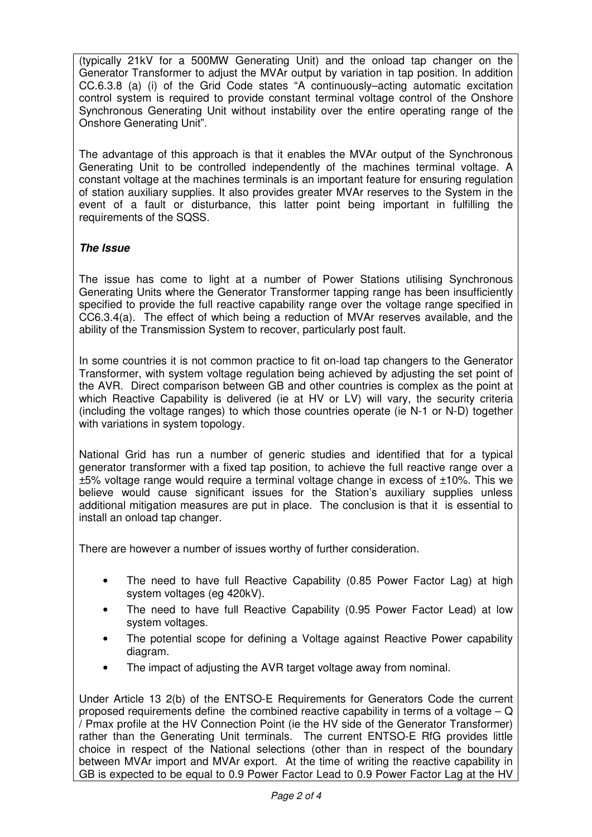(typically 21kV for a 500MW Generating Unit) and the onload tap changer on the Generator Transformer to adjust the MVAr output by variation in tap position. In addition CC.6.3.8 (a) (i) of the Grid Code states "A continuously–acting automatic excitation control system is required to provide constant terminal voltage control of the Onshore Synchronous Generating Unit without instability over the entire operating range of the Onshore Generating Unit".

The advantage of this approach is that it enables the MVAr output of the Synchronous Generating Unit to be controlled independently of the machines terminal voltage. A constant voltage at the machines terminals is an important feature for ensuring regulation of station auxiliary supplies. It also provides greater MVAr reserves to the System in the event of a fault or disturbance, this latter point being important in fulfilling the requirements of the SQSS.

## **The Issue**

The issue has come to light at a number of Power Stations utilising Synchronous Generating Units where the Generator Transformer tapping range has been insufficiently specified to provide the full reactive capability range over the voltage range specified in CC6.3.4(a). The effect of which being a reduction of MVAr reserves available, and the ability of the Transmission System to recover, particularly post fault.

In some countries it is not common practice to fit on-load tap changers to the Generator Transformer, with system voltage regulation being achieved by adjusting the set point of the AVR. Direct comparison between GB and other countries is complex as the point at which Reactive Capability is delivered (ie at HV or LV) will vary, the security criteria (including the voltage ranges) to which those countries operate (ie N-1 or N-D) together with variations in system topology.

National Grid has run a number of generic studies and identified that for a typical generator transformer with a fixed tap position, to achieve the full reactive range over a ±5% voltage range would require a terminal voltage change in excess of ±10%. This we believe would cause significant issues for the Station's auxiliary supplies unless additional mitigation measures are put in place. The conclusion is that it is essential to install an onload tap changer.

There are however a number of issues worthy of further consideration.

- The need to have full Reactive Capability (0.85 Power Factor Lag) at high system voltages (eg 420kV).
- The need to have full Reactive Capability (0.95 Power Factor Lead) at low system voltages.
- The potential scope for defining a Voltage against Reactive Power capability diagram.
- The impact of adjusting the AVR target voltage away from nominal.

Under Article 13 2(b) of the ENTSO-E Requirements for Generators Code the current proposed requirements define the combined reactive capability in terms of a voltage –  $Q$ / Pmax profile at the HV Connection Point (ie the HV side of the Generator Transformer) rather than the Generating Unit terminals. The current ENTSO-E RfG provides little choice in respect of the National selections (other than in respect of the boundary between MVAr import and MVAr export. At the time of writing the reactive capability in GB is expected to be equal to 0.9 Power Factor Lead to 0.9 Power Factor Lag at the HV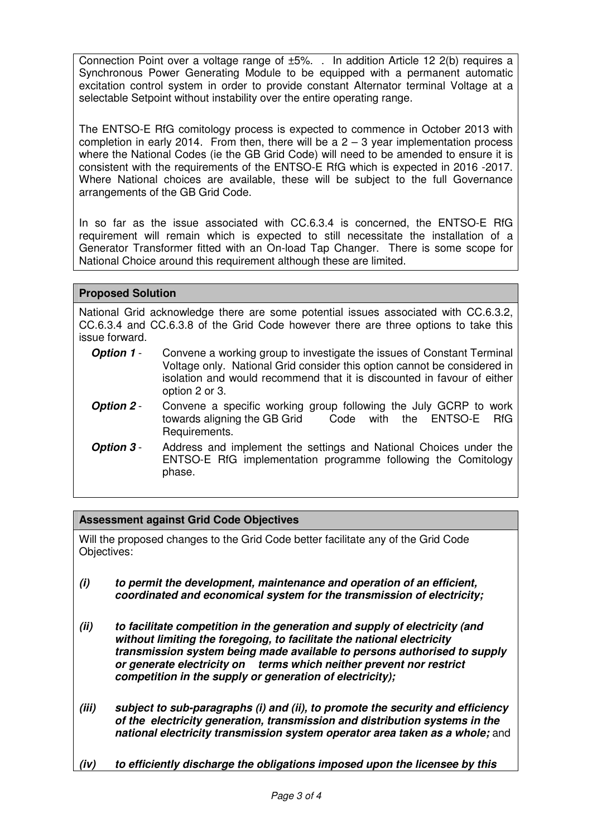Connection Point over a voltage range of ±5%. . In addition Article 12 2(b) requires a Synchronous Power Generating Module to be equipped with a permanent automatic excitation control system in order to provide constant Alternator terminal Voltage at a selectable Setpoint without instability over the entire operating range.

The ENTSO-E RfG comitology process is expected to commence in October 2013 with completion in early 2014. From then, there will be a  $2 - 3$  year implementation process where the National Codes (ie the GB Grid Code) will need to be amended to ensure it is consistent with the requirements of the ENTSO-E RfG which is expected in 2016 -2017. Where National choices are available, these will be subject to the full Governance arrangements of the GB Grid Code.

In so far as the issue associated with CC.6.3.4 is concerned, the ENTSO-E RfG requirement will remain which is expected to still necessitate the installation of a Generator Transformer fitted with an On-load Tap Changer. There is some scope for National Choice around this requirement although these are limited.

### **Proposed Solution**

National Grid acknowledge there are some potential issues associated with CC.6.3.2, CC.6.3.4 and CC.6.3.8 of the Grid Code however there are three options to take this issue forward.

- **Option 1** Convene a working group to investigate the issues of Constant Terminal Voltage only. National Grid consider this option cannot be considered in isolation and would recommend that it is discounted in favour of either option 2 or 3.
- **Option 2** Convene a specific working group following the July GCRP to work towards aligning the GB Grid Code with the ENTSO-E RfG Requirements.
- **Option 3** Address and implement the settings and National Choices under the ENTSO-E RfG implementation programme following the Comitology phase.

### **Assessment against Grid Code Objectives**

Will the proposed changes to the Grid Code better facilitate any of the Grid Code Objectives:

- **(i) to permit the development, maintenance and operation of an efficient, coordinated and economical system for the transmission of electricity;**
- **(ii) to facilitate competition in the generation and supply of electricity (and without limiting the foregoing, to facilitate the national electricity transmission system being made available to persons authorised to supply or generate electricity on terms which neither prevent nor restrict competition in the supply or generation of electricity);**
- **(iii) subject to sub-paragraphs (i) and (ii), to promote the security and efficiency of the electricity generation, transmission and distribution systems in the national electricity transmission system operator area taken as a whole;** and
- **(iv) to efficiently discharge the obligations imposed upon the licensee by this**